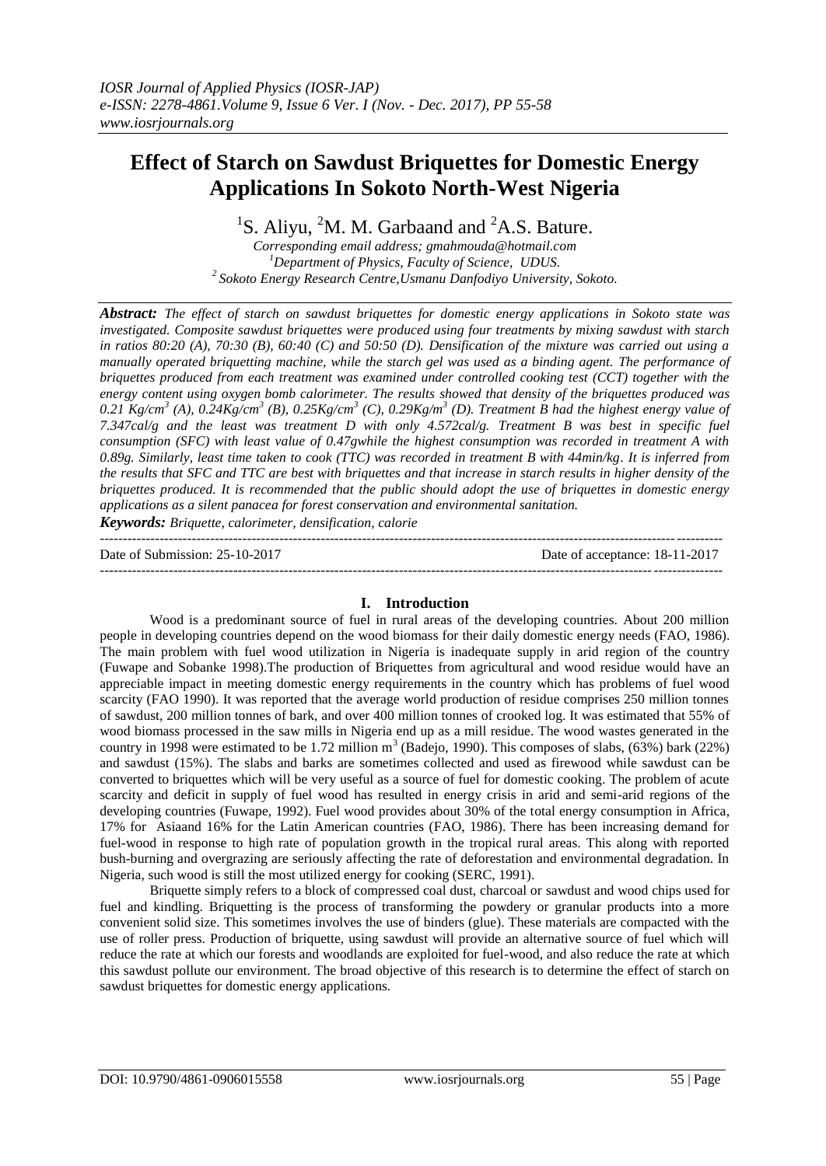# **Effect of Starch on Sawdust Briquettes for Domestic Energy Applications In Sokoto North-West Nigeria**

<sup>1</sup>S. Aliyu, <sup>2</sup>M. M. Garbaand and <sup>2</sup>A.S. Bature.

*Corresponding email address; gmahmouda@hotmail.com <sup>1</sup>Department of Physics, Faculty of Science, UDUS. <sup>2</sup>Sokoto Energy Research Centre,Usmanu Danfodiyo University, Sokoto.*

*Abstract: The effect of starch on sawdust briquettes for domestic energy applications in Sokoto state was investigated. Composite sawdust briquettes were produced using four treatments by mixing sawdust with starch in ratios 80:20 (A), 70:30 (B), 60:40 (C) and 50:50 (D). Densification of the mixture was carried out using a manually operated briquetting machine, while the starch gel was used as a binding agent. The performance of briquettes produced from each treatment was examined under controlled cooking test (CCT) together with the energy content using oxygen bomb calorimeter. The results showed that density of the briquettes produced was*   $0.21$   $Kg/cm<sup>3</sup>$  (A),  $0.24Kg/cm<sup>3</sup>$  (B),  $0.25Kg/cm<sup>3</sup>$  (C),  $0.29Kg/m<sup>3</sup>$  (D). Treatment B had the highest energy value of *7.347cal/g and the least was treatment D with only 4.572cal/g. Treatment B was best in specific fuel consumption (SFC) with least value of 0.47gwhile the highest consumption was recorded in treatment A with 0.89g. Similarly, least time taken to cook (TTC) was recorded in treatment B with 44min/kg. It is inferred from the results that SFC and TTC are best with briquettes and that increase in starch results in higher density of the briquettes produced. It is recommended that the public should adopt the use of briquettes in domestic energy applications as a silent panacea for forest conservation and environmental sanitation.*

*Keywords: Briquette, calorimeter, densification, calorie*

---------------------------------------------------------------------------------------------------------------------------------------

---------------------------------------------------------------------------------------------------------------------------------------

Date of Submission: 25-10-2017 Date of acceptance: 18-11-2017

# **I. Introduction**

Wood is a predominant source of fuel in rural areas of the developing countries. About 200 million people in developing countries depend on the wood biomass for their daily domestic energy needs (FAO, 1986). The main problem with fuel wood utilization in Nigeria is inadequate supply in arid region of the country (Fuwape and Sobanke 1998).The production of Briquettes from agricultural and wood residue would have an appreciable impact in meeting domestic energy requirements in the country which has problems of fuel wood scarcity (FAO 1990). It was reported that the average world production of residue comprises 250 million tonnes of sawdust, 200 million tonnes of bark, and over 400 million tonnes of crooked log. It was estimated that 55% of wood biomass processed in the saw mills in Nigeria end up as a mill residue. The wood wastes generated in the country in 1998 were estimated to be 1.72 million  $m^3$  (Badejo, 1990). This composes of slabs, (63%) bark (22%) and sawdust (15%). The slabs and barks are sometimes collected and used as firewood while sawdust can be converted to briquettes which will be very useful as a source of fuel for domestic cooking. The problem of acute scarcity and deficit in supply of fuel wood has resulted in energy crisis in arid and semi-arid regions of the developing countries (Fuwape, 1992). Fuel wood provides about 30% of the total energy consumption in Africa, 17% for Asiaand 16% for the Latin American countries (FAO, 1986). There has been increasing demand for fuel-wood in response to high rate of population growth in the tropical rural areas. This along with reported bush-burning and overgrazing are seriously affecting the rate of deforestation and environmental degradation. In Nigeria, such wood is still the most utilized energy for cooking (SERC, 1991).

Briquette simply refers to a block of compressed coal dust, charcoal or sawdust and wood chips used for fuel and kindling. Briquetting is the process of transforming the powdery or granular products into a more convenient solid size. This sometimes involves the use of binders (glue). These materials are compacted with the use of roller press. Production of briquette, using sawdust will provide an alternative source of fuel which will reduce the rate at which our forests and woodlands are exploited for fuel-wood, and also reduce the rate at which this sawdust pollute our environment. The broad objective of this research is to determine the effect of starch on sawdust briquettes for domestic energy applications.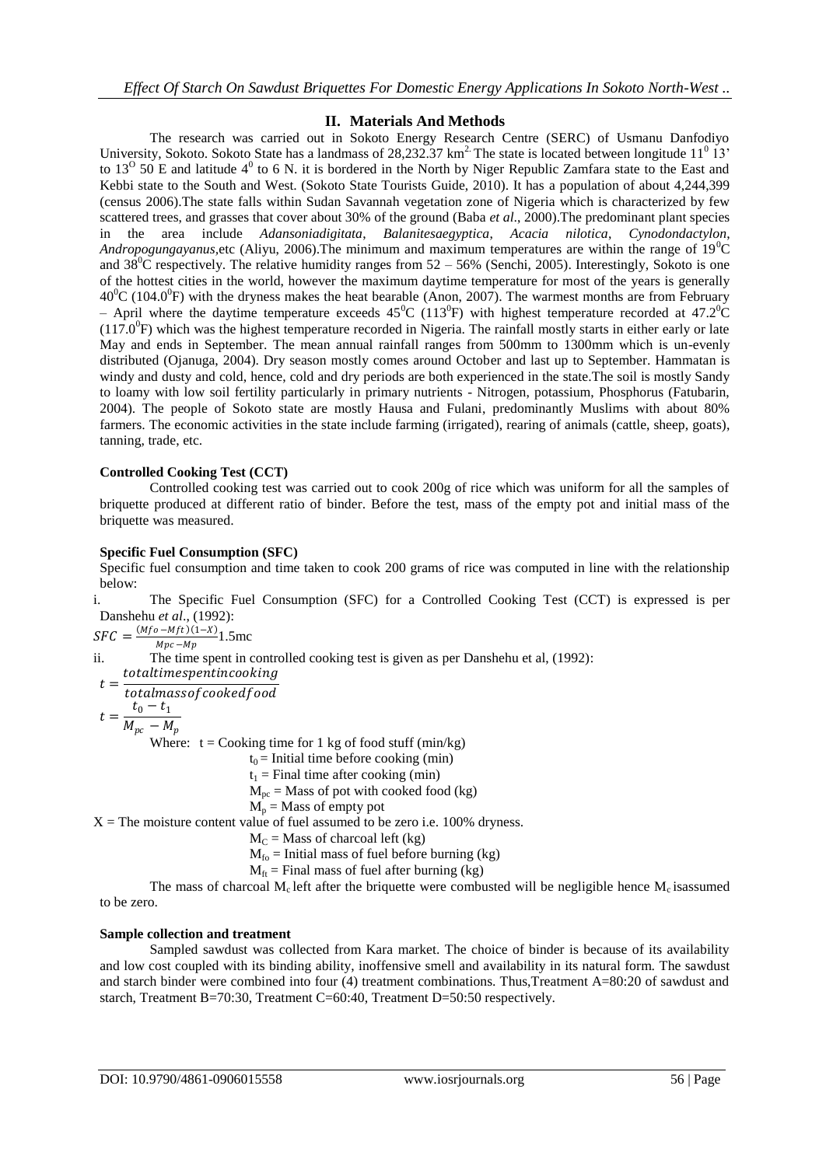# **II. Materials And Methods**

The research was carried out in Sokoto Energy Research Centre (SERC) of Usmanu Danfodiyo University, Sokoto. Sokoto State has a landmass of 28,232.37  $km^2$  The state is located between longitude 11<sup>0</sup> 13' to 13<sup>o</sup> 50 E and latitude 4<sup>0</sup> to 6 N. it is bordered in the North by Niger Republic Zamfara state to the East and Kebbi state to the South and West. (Sokoto State Tourists Guide, 2010). It has a population of about 4,244,399 (census 2006).The state falls within Sudan Savannah vegetation zone of Nigeria which is characterized by few scattered trees, and grasses that cover about 30% of the ground (Baba *et al*., 2000).The predominant plant species in the area include *Adansoniadigitata*, *Balanitesaegyptica*, *Acacia nilotica*, *Cynodondactylon*, *Andropogungayanus,etc (Aliyu, 2006).The minimum and maximum temperatures are within the range of 19<sup>0</sup>C* and  $38^{\circ}$ C respectively. The relative humidity ranges from  $52 - 56\%$  (Senchi, 2005). Interestingly, Sokoto is one of the hottest cities in the world, however the maximum daytime temperature for most of the years is generally  $40^{\circ}$ C (104.0<sup>o</sup>F) with the dryness makes the heat bearable (Anon, 2007). The warmest months are from February - April where the daytime temperature exceeds 45<sup>o</sup>C (113<sup>o</sup>F) with highest temperature recorded at 47.2<sup>o</sup>C  $(117.0^{\circ}$ F) which was the highest temperature recorded in Nigeria. The rainfall mostly starts in either early or late May and ends in September. The mean annual rainfall ranges from 500mm to 1300mm which is un-evenly distributed (Ojanuga, 2004). Dry season mostly comes around October and last up to September. Hammatan is windy and dusty and cold, hence, cold and dry periods are both experienced in the state.The soil is mostly Sandy to loamy with low soil fertility particularly in primary nutrients - Nitrogen, potassium, Phosphorus (Fatubarin, 2004). The people of Sokoto state are mostly Hausa and Fulani, predominantly Muslims with about 80% farmers. The economic activities in the state include farming (irrigated), rearing of animals (cattle, sheep, goats), tanning, trade, etc.

# **Controlled Cooking Test (CCT)**

Controlled cooking test was carried out to cook 200g of rice which was uniform for all the samples of briquette produced at different ratio of binder. Before the test, mass of the empty pot and initial mass of the briquette was measured.

# **Specific Fuel Consumption (SFC)**

Specific fuel consumption and time taken to cook 200 grams of rice was computed in line with the relationship below:

i. The Specific Fuel Consumption (SFC) for a Controlled Cooking Test (CCT) is expressed is per Danshehu *et al*., (1992):

 $SFC = \frac{(Mfo - Mft)(1-X)}{Mpc Mc}$ 1.5mc  $Mpc - Mp$ 

ii. The time spent in controlled cooking test is given as per Danshehu et al, (1992):

totaltimespentincooking

 $t=$ totalmassofcookedfood

$$
=\frac{t_0-t_1}{M_{pc}-M_p}
$$

 $\ddot{t}$ 

Where:  $t = \text{Cooking time}$  for 1 kg of food stuff (min/kg)

 $t_0$  = Initial time before cooking (min)

 $t_1$  = Final time after cooking (min)

 $M_{pc}$  = Mass of pot with cooked food (kg)

 $M_p$  = Mass of empty pot

 $X =$ The moisture content value of fuel assumed to be zero i.e. 100% dryness.

 $M<sub>C</sub>$  = Mass of charcoal left (kg)

 $M_{fo}$  = Initial mass of fuel before burning (kg)

 $M<sub>ft</sub>$  = Final mass of fuel after burning (kg)

The mass of charcoal  $M_c$  left after the briquette were combusted will be negligible hence  $M_c$  isassumed to be zero.

# **Sample collection and treatment**

Sampled sawdust was collected from Kara market. The choice of binder is because of its availability and low cost coupled with its binding ability, inoffensive smell and availability in its natural form. The sawdust and starch binder were combined into four (4) treatment combinations. Thus,Treatment A=80:20 of sawdust and starch, Treatment B=70:30, Treatment C=60:40, Treatment D=50:50 respectively.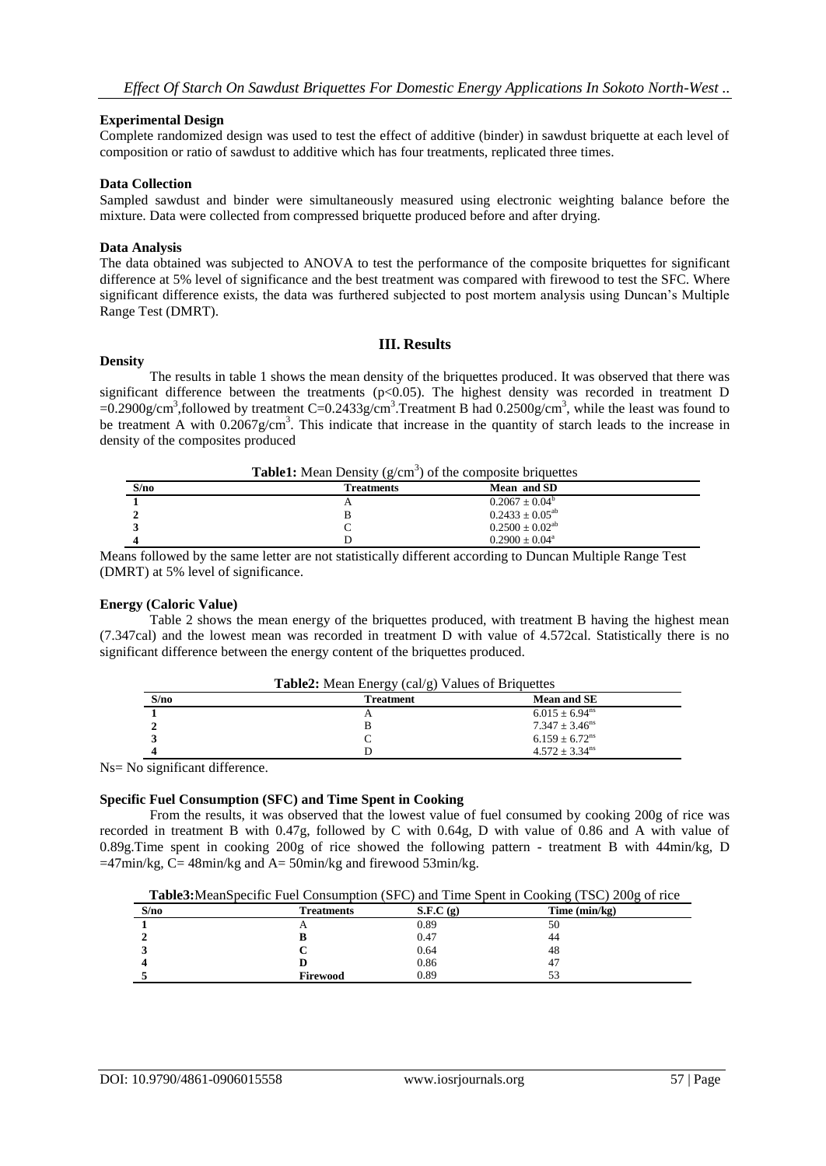#### **Experimental Design**

Complete randomized design was used to test the effect of additive (binder) in sawdust briquette at each level of composition or ratio of sawdust to additive which has four treatments, replicated three times.

#### **Data Collection**

Sampled sawdust and binder were simultaneously measured using electronic weighting balance before the mixture. Data were collected from compressed briquette produced before and after drying.

#### **Data Analysis**

The data obtained was subjected to ANOVA to test the performance of the composite briquettes for significant difference at 5% level of significance and the best treatment was compared with firewood to test the SFC. Where significant difference exists, the data was furthered subjected to post mortem analysis using Duncan's Multiple Range Test (DMRT).

#### **Density**

# **III. Results**

The results in table 1 shows the mean density of the briquettes produced. It was observed that there was significant difference between the treatments ( $p<0.05$ ). The highest density was recorded in treatment D  $=0.2900$ g/cm<sup>3</sup>, followed by treatment C=0.2433g/cm<sup>3</sup>. Treatment B had 0.2500g/cm<sup>3</sup>, while the least was found to be treatment A with  $0.2067$ g/cm<sup>3</sup>. This indicate that increase in the quantity of starch leads to the increase in density of the composites produced

| <b>Table1:</b> Mean Density $(g/cm^3)$ of the composite briquettes |                   |                           |  |  |
|--------------------------------------------------------------------|-------------------|---------------------------|--|--|
| S/no                                                               | <b>Treatments</b> | Mean and SD               |  |  |
|                                                                    |                   | $0.2067 \pm 0.04^b$       |  |  |
|                                                                    |                   | $0.2433 \pm 0.05^{ab}$    |  |  |
|                                                                    |                   | $0.2500 \pm 0.02^{ab}$    |  |  |
|                                                                    |                   | $0.2900 \pm 0.04^{\circ}$ |  |  |

Means followed by the same letter are not statistically different according to Duncan Multiple Range Test (DMRT) at 5% level of significance.

**Table2:** Mean Energy (cal/g) Values of Briquettes

#### **Energy (Caloric Value)**

Table 2 shows the mean energy of the briquettes produced, with treatment B having the highest mean (7.347cal) and the lowest mean was recorded in treatment D with value of 4.572cal. Statistically there is no significant difference between the energy content of the briquettes produced.

| S/no | <b>Treatment</b> | <b>Mean and SE</b>           |
|------|------------------|------------------------------|
|      |                  | $6.015 \pm 6.94^{\text{ns}}$ |
|      |                  | $7.347 + 3.46$ <sup>ns</sup> |
|      |                  | $6.159 \pm 6.72^{\text{ns}}$ |
|      |                  | $4.572 + 3.34$ <sup>ns</sup> |

Ns= No significant difference.

#### **Specific Fuel Consumption (SFC) and Time Spent in Cooking**

From the results, it was observed that the lowest value of fuel consumed by cooking 200g of rice was recorded in treatment B with 0.47g, followed by C with 0.64g, D with value of 0.86 and A with value of 0.89g.Time spent in cooking 200g of rice showed the following pattern - treatment B with 44min/kg, D  $=47$ min/kg, C= 48min/kg and A= 50min/kg and firewood 53min/kg.

**Table3:**MeanSpecific Fuel Consumption (SFC) and Time Spent in Cooking (TSC) 200g of rice

| S/no | <b>Treatments</b> | S.F.C(g) | Time $(min/kg)$ |
|------|-------------------|----------|-----------------|
|      | $\Gamma$          | 0.89     | 50              |
|      |                   | 0.47     | 44              |
|      | ъ.                | 0.64     | 48              |
|      |                   | 0.86     | 47              |
|      | Firewood          | 0.89     | 53              |